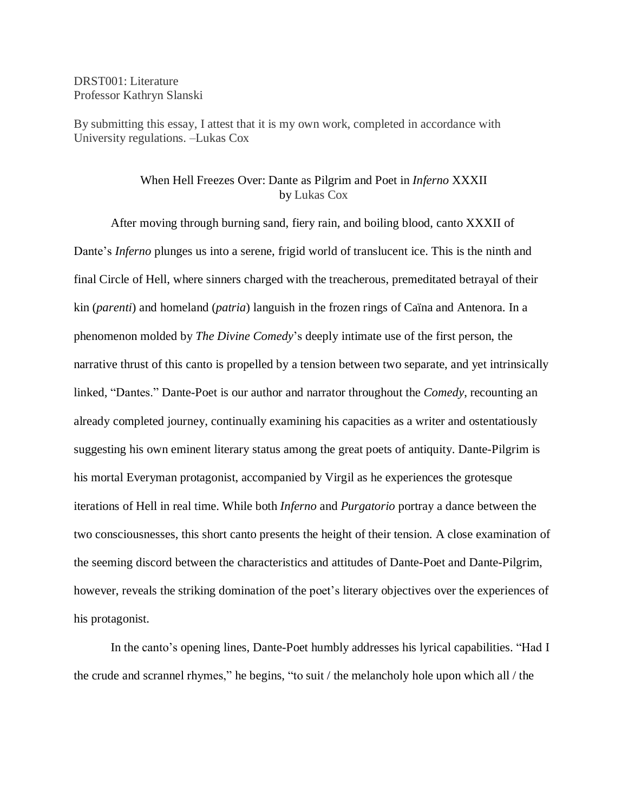DRST001: Literature Professor Kathryn Slanski

By submitting this essay, I attest that it is my own work, completed in accordance with University regulations. –Lukas Cox

## When Hell Freezes Over: Dante as Pilgrim and Poet in *Inferno* XXXII by Lukas Cox

After moving through burning sand, fiery rain, and boiling blood, canto XXXII of Dante's *Inferno* plunges us into a serene, frigid world of translucent ice. This is the ninth and final Circle of Hell, where sinners charged with the treacherous, premeditated betrayal of their kin (*parenti*) and homeland (*patria*) languish in the frozen rings of Caïna and Antenora. In a phenomenon molded by *The Divine Comedy*'s deeply intimate use of the first person, the narrative thrust of this canto is propelled by a tension between two separate, and yet intrinsically linked, "Dantes." Dante-Poet is our author and narrator throughout the *Comedy*, recounting an already completed journey, continually examining his capacities as a writer and ostentatiously suggesting his own eminent literary status among the great poets of antiquity. Dante-Pilgrim is his mortal Everyman protagonist, accompanied by Virgil as he experiences the grotesque iterations of Hell in real time. While both *Inferno* and *Purgatorio* portray a dance between the two consciousnesses, this short canto presents the height of their tension. A close examination of the seeming discord between the characteristics and attitudes of Dante-Poet and Dante-Pilgrim, however, reveals the striking domination of the poet's literary objectives over the experiences of his protagonist.

In the canto's opening lines, Dante-Poet humbly addresses his lyrical capabilities. "Had I the crude and scrannel rhymes," he begins, "to suit / the melancholy hole upon which all / the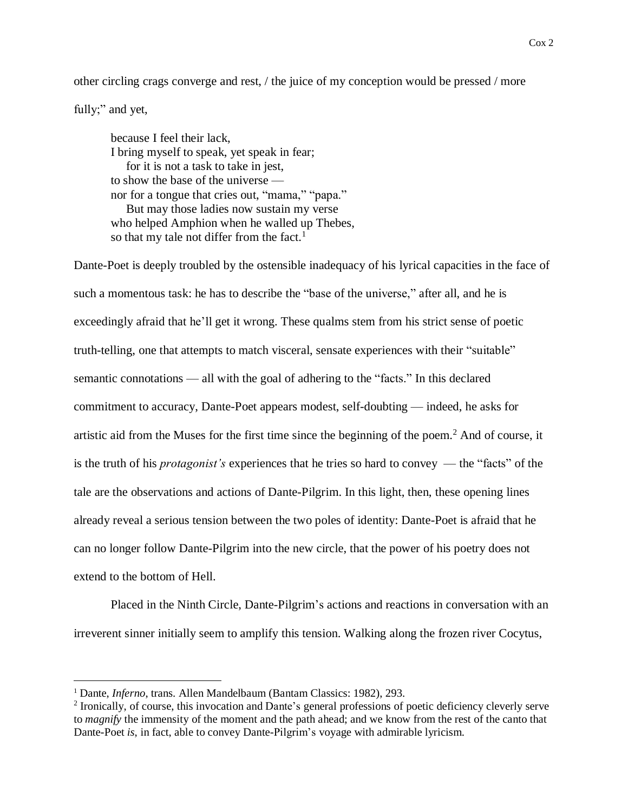other circling crags converge and rest, / the juice of my conception would be pressed / more

fully;" and yet,

 $\overline{a}$ 

because I feel their lack, I bring myself to speak, yet speak in fear; for it is not a task to take in jest, to show the base of the universe nor for a tongue that cries out, "mama," "papa." But may those ladies now sustain my verse who helped Amphion when he walled up Thebes, so that my tale not differ from the fact.<sup>1</sup>

Dante-Poet is deeply troubled by the ostensible inadequacy of his lyrical capacities in the face of such a momentous task: he has to describe the "base of the universe," after all, and he is exceedingly afraid that he'll get it wrong. These qualms stem from his strict sense of poetic truth-telling, one that attempts to match visceral, sensate experiences with their "suitable" semantic connotations — all with the goal of adhering to the "facts." In this declared commitment to accuracy, Dante-Poet appears modest, self-doubting — indeed, he asks for artistic aid from the Muses for the first time since the beginning of the poem.<sup>2</sup> And of course, it is the truth of his *protagonist's* experiences that he tries so hard to convey — the "facts" of the tale are the observations and actions of Dante-Pilgrim. In this light, then, these opening lines already reveal a serious tension between the two poles of identity: Dante-Poet is afraid that he can no longer follow Dante-Pilgrim into the new circle, that the power of his poetry does not extend to the bottom of Hell.

Placed in the Ninth Circle, Dante-Pilgrim's actions and reactions in conversation with an irreverent sinner initially seem to amplify this tension. Walking along the frozen river Cocytus,

<sup>1</sup> Dante, *Inferno*, trans. Allen Mandelbaum (Bantam Classics: 1982), 293.

<sup>&</sup>lt;sup>2</sup> Ironically, of course, this invocation and Dante's general professions of poetic deficiency cleverly serve to *magnify* the immensity of the moment and the path ahead; and we know from the rest of the canto that Dante-Poet *is*, in fact, able to convey Dante-Pilgrim's voyage with admirable lyricism.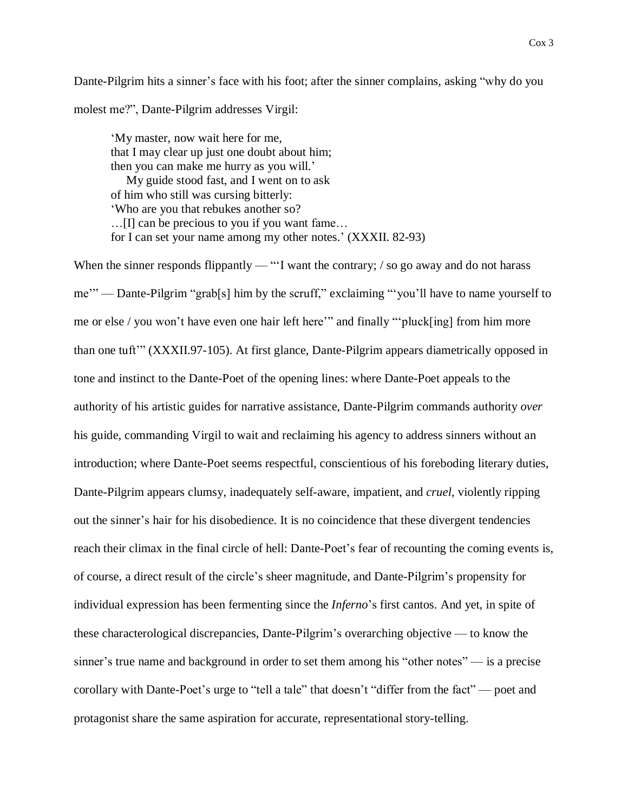Dante-Pilgrim hits a sinner's face with his foot; after the sinner complains, asking "why do you molest me?", Dante-Pilgrim addresses Virgil:

'My master, now wait here for me, that I may clear up just one doubt about him; then you can make me hurry as you will.' My guide stood fast, and I went on to ask of him who still was cursing bitterly: 'Who are you that rebukes another so? …[I] can be precious to you if you want fame… for I can set your name among my other notes.' (XXXII. 82-93)

When the sinner responds flippantly — "'I want the contrary; / so go away and do not harass me'" — Dante-Pilgrim "grab[s] him by the scruff," exclaiming "'you'll have to name yourself to me or else / you won't have even one hair left here'" and finally "'pluck[ing] from him more than one tuft'" (XXXII.97-105). At first glance, Dante-Pilgrim appears diametrically opposed in tone and instinct to the Dante-Poet of the opening lines: where Dante-Poet appeals to the authority of his artistic guides for narrative assistance, Dante-Pilgrim commands authority *over* his guide, commanding Virgil to wait and reclaiming his agency to address sinners without an introduction; where Dante-Poet seems respectful, conscientious of his foreboding literary duties, Dante-Pilgrim appears clumsy, inadequately self-aware, impatient, and *cruel*, violently ripping out the sinner's hair for his disobedience. It is no coincidence that these divergent tendencies reach their climax in the final circle of hell: Dante-Poet's fear of recounting the coming events is, of course, a direct result of the circle's sheer magnitude, and Dante-Pilgrim's propensity for individual expression has been fermenting since the *Inferno*'s first cantos. And yet, in spite of these characterological discrepancies, Dante-Pilgrim's overarching objective — to know the sinner's true name and background in order to set them among his "other notes" — is a precise corollary with Dante-Poet's urge to "tell a tale" that doesn't "differ from the fact" — poet and protagonist share the same aspiration for accurate, representational story-telling.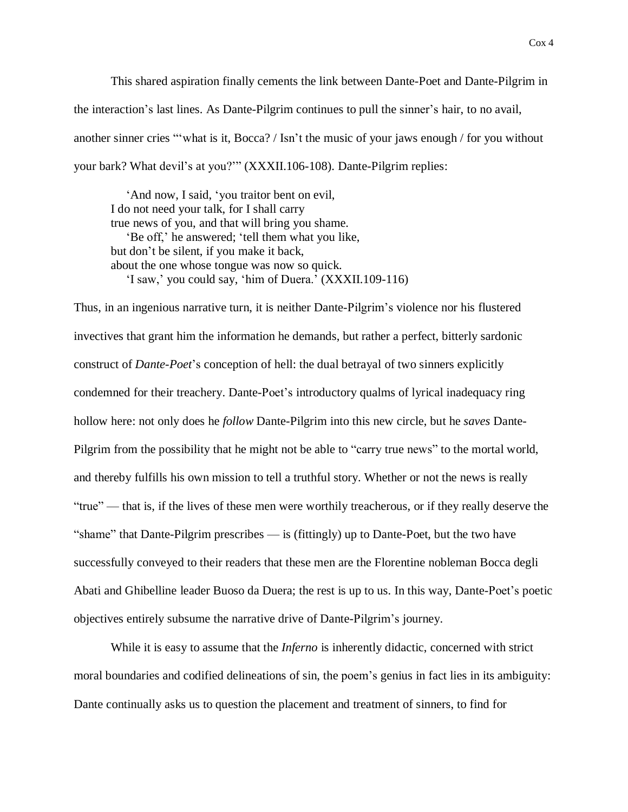This shared aspiration finally cements the link between Dante-Poet and Dante-Pilgrim in the interaction's last lines. As Dante-Pilgrim continues to pull the sinner's hair, to no avail, another sinner cries "'what is it, Bocca? / Isn't the music of your jaws enough / for you without your bark? What devil's at you?'" (XXXII.106-108). Dante-Pilgrim replies:

 'And now, I said, 'you traitor bent on evil, I do not need your talk, for I shall carry true news of you, and that will bring you shame. 'Be off,' he answered; 'tell them what you like, but don't be silent, if you make it back, about the one whose tongue was now so quick. 'I saw,' you could say, 'him of Duera.' (XXXII.109-116)

Thus, in an ingenious narrative turn, it is neither Dante-Pilgrim's violence nor his flustered invectives that grant him the information he demands, but rather a perfect, bitterly sardonic construct of *Dante-Poet*'s conception of hell: the dual betrayal of two sinners explicitly condemned for their treachery. Dante-Poet's introductory qualms of lyrical inadequacy ring hollow here: not only does he *follow* Dante-Pilgrim into this new circle, but he *saves* Dante-Pilgrim from the possibility that he might not be able to "carry true news" to the mortal world, and thereby fulfills his own mission to tell a truthful story. Whether or not the news is really "true" — that is, if the lives of these men were worthily treacherous, or if they really deserve the "shame" that Dante-Pilgrim prescribes — is (fittingly) up to Dante-Poet, but the two have successfully conveyed to their readers that these men are the Florentine nobleman Bocca degli Abati and Ghibelline leader Buoso da Duera; the rest is up to us. In this way, Dante-Poet's poetic objectives entirely subsume the narrative drive of Dante-Pilgrim's journey.

While it is easy to assume that the *Inferno* is inherently didactic, concerned with strict moral boundaries and codified delineations of sin, the poem's genius in fact lies in its ambiguity: Dante continually asks us to question the placement and treatment of sinners, to find for